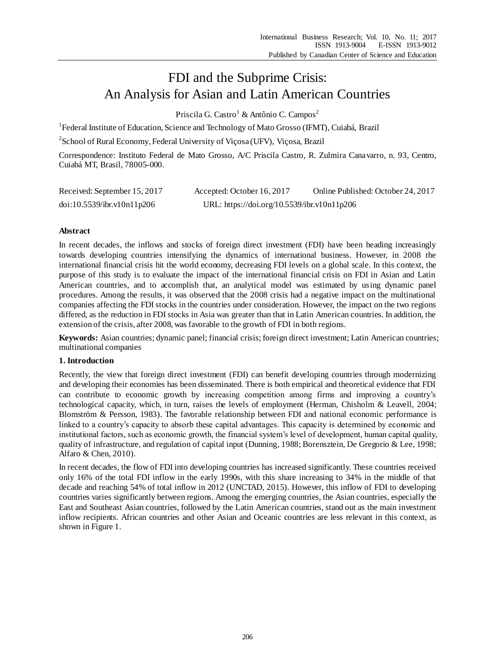# FDI and the Subprime Crisis: An Analysis for Asian and Latin American Countries

Priscila G. Castro<sup>1</sup> & Antônio C. Campos<sup>2</sup>

<sup>1</sup> Federal Institute of Education, Science and Technology of Mato Grosso (IFMT), Cuiab á Brazil

 $^2$ School of Rural Economy, Federal University of Vi  $\varphi$ sa (UFV), Vi $\varphi$ sa, Brazil

Correspondence: Instituto Federal de Mato Grosso, A/C Priscila Castro, R. Zulmira Canavarro, n. 93, Centro, Cuiabá MT, Brasil, 78005-000.

| Received: September 15, 2017 | Accepted: October 16, 2017                  | Online Published: October 24, 2017 |
|------------------------------|---------------------------------------------|------------------------------------|
| doi:10.5539/ibr.v10n11p206   | URL: https://doi.org/10.5539/ibr.v10n11p206 |                                    |

# **Abstract**

In recent decades, the inflows and stocks of foreign direct investment (FDI) have been heading increasingly towards developing countries intensifying the dynamics of international business. However, in 2008 the international financial crisis hit the world economy, decreasing FDI levels on a global scale. In this context, the purpose of this study is to evaluate the impact of the international financial crisis on FDI in Asian and Latin American countries, and to accomplish that, an analytical model was estimated by using dynamic panel procedures. Among the results, it was observed that the 2008 crisis had a negative impact on the multinational companies affecting the FDI stocks in the countries under consideration. However, the impact on the two regions differed, as the reduction in FDI stocks in Asia was greater than that in Latin American countries. In addition, the extension of the crisis, after 2008, was favorable to the growth of FDI in both regions.

**Keywords:** Asian countries; dynamic panel; financial crisis; foreign direct investment; Latin American countries; multinational companies

# **1. Introduction**

Recently, the view that foreign direct investment (FDI) can benefit developing countries through modernizing and developing their economies has been disseminated. There is both empirical and theoretical evidence that FDI can contribute to economic growth by increasing competition among firms and improving a country's technological capacity, which, in turn, raises the levels of employment (Herman, Chisholm & Leavell, 2004; Blomström & Persson, 1983). The favorable relationship between FDI and national economic performance is linked to a country's capacity to absorb these capital advantages. This capacity is determined by economic and institutional factors, such as economic growth, the financial system's level of development, human capital quality, quality of infrastructure, and regulation of capital input (Dunning, 1988; Borensztein, De Gregorio & Lee, 1998; Alfaro & Chen, 2010).

In recent decades, the flow of FDI into developing countries has increased significantly. These countries received only 16% of the total FDI inflow in the early 1990s, with this share increasing to 34% in the middle of that decade and reaching 54% of total inflow in 2012 (UNCTAD, 2015). However, this inflow of FDI to developing countries varies significantly between regions. Among the emerging countries, the Asian countries, especially the East and Southeast Asian countries, followed by the Latin American countries, stand out as the main investment inflow recipients. African countries and other Asian and Oceanic countries are less relevant in this context, as shown in Figure 1.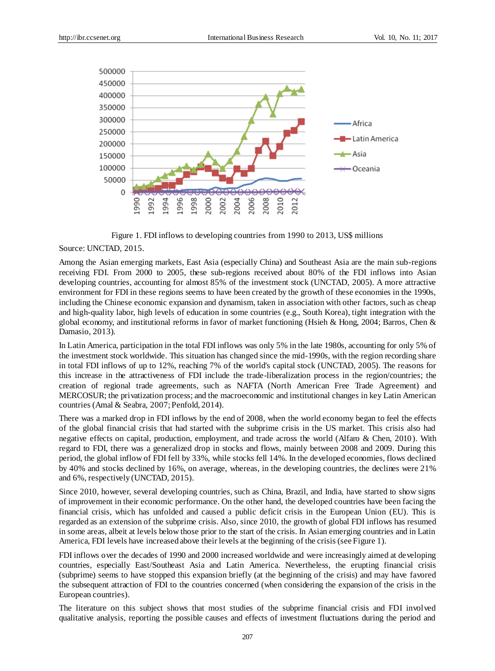

Figure 1. FDI inflows to developing countries from 1990 to 2013, US\$ millions

#### Source: UNCTAD, 2015.

Among the Asian emerging markets, East Asia (especially China) and Southeast Asia are the main sub-regions receiving FDI. From 2000 to 2005, these sub-regions received about 80% of the FDI inflows into Asian developing countries, accounting for almost 85% of the investment stock (UNCTAD, 2005). A more attractive environment for FDI in these regions seems to have been created by the growth of these economies in the 1990s, including the Chinese economic expansion and dynamism, taken in association with other factors, such as cheap and high-quality labor, high levels of education in some countries (e.g., South Korea), tight integration with the global economy, and institutional reforms in favor of market functioning (Hsieh & Hong, 2004; Barros, Chen & Damasio, 2013).

In Latin America, participation in the total FDI inflows was only 5% in the late 1980s, accounting for only 5% of the investment stock worldwide. This situation has changed since the mid-1990s, with the region recording share in total FDI inflows of up to 12%, reaching 7% of the world's capital stock (UNCTAD, 2005). The reasons for this increase in the attractiveness of FDI include the trade-liberalization process in the region/countries; the creation of regional trade agreements, such as NAFTA (North American Free Trade Agreement) and MERCOSUR; the privatization process; and the macroeconomic and institutional changes in key Latin American countries (Amal & Seabra, 2007; Penfold, 2014).

There was a marked drop in FDI inflows by the end of 2008, when the world economy began to feel the effects of the global financial crisis that had started with the subprime crisis in the US market. This crisis also had negative effects on capital, production, employment, and trade across the world (Alfaro & Chen, 2010). With regard to FDI, there was a generalized drop in stocks and flows, mainly between 2008 and 2009. During this period, the global inflow of FDI fell by 33%, while stocks fell 14%. In the developed economies, flows declined by 40% and stocks declined by 16%, on average, whereas, in the developing countries, the declines were 21% and 6%, respectively (UNCTAD, 2015).

Since 2010, however, several developing countries, such as China, Brazil, and India, have started to show signs of improvement in their economic performance. On the other hand, the developed countries have been facing the financial crisis, which has unfolded and caused a public deficit crisis in the European Union (EU). This is regarded as an extension of the subprime crisis. Also, since 2010, the growth of global FDI inflows has resumed in some areas, albeit at levels below those prior to the start of the crisis. In Asian emerging countries and in Latin America, FDI levels have increased above their levels at the beginning of the crisis (see Figure 1).

FDI inflows over the decades of 1990 and 2000 increased worldwide and were increasingly aimed at developing countries, especially East/Southeast Asia and Latin America. Nevertheless, the erupting financial crisis (subprime) seems to have stopped this expansion briefly (at the beginning of the crisis) and may have favored the subsequent attraction of FDI to the countries concerned (when considering the expansion of the crisis in the European countries).

The literature on this subject shows that most studies of the subprime financial crisis and FDI involved qualitative analysis, reporting the possible causes and effects of investment fluctuations during the period and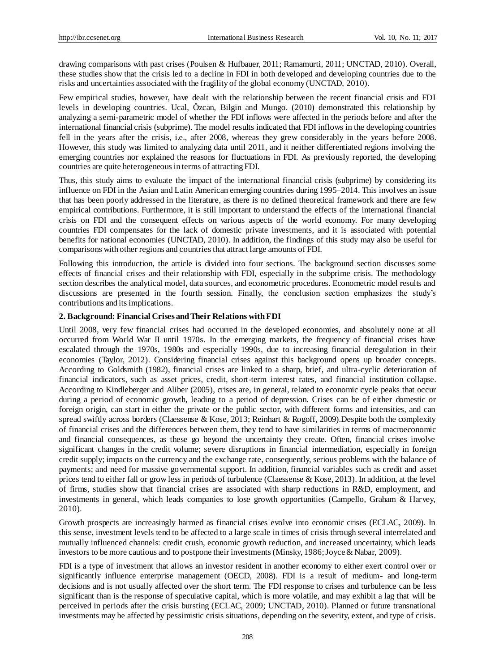drawing comparisons with past crises (Poulsen & Hufbauer, 2011; Ramamurti, 2011; UNCTAD, 2010). Overall, these studies show that the crisis led to a decline in FDI in both developed and developing countries due to the risks and uncertainties associated with the fragility of the global economy (UNCTAD, 2010).

Few empirical studies, however, have dealt with the relationship between the recent financial crisis and FDI levels in developing countries. Ucal, Özcan, Bilgin and Mungo. (2010) demonstrated this relationship by analyzing a semi-parametric model of whether the FDI inflows were affected in the periods before and after the international financial crisis (subprime). The model results indicated that FDI inflows in the developing countries fell in the years after the crisis, i.e., after 2008, whereas they grew considerably in the years before 2008. However, this study was limited to analyzing data until 2011, and it neither differentiated regions involving the emerging countries nor explained the reasons for fluctuations in FDI. As previously reported, the developing countries are quite heterogeneous in terms of attracting FDI.

Thus, this study aims to evaluate the impact of the international financial crisis (subprime) by considering its influence on FDI in the Asian and Latin American emerging countries during 1995–2014. This involves an issue that has been poorly addressed in the literature, as there is no defined theoretical framework and there are few empirical contributions. Furthermore, it is still important to understand the effects of the international financial crisis on FDI and the consequent effects on various aspects of the world economy. For many developing countries FDI compensates for the lack of domestic private investments, and it is associated with potential benefits for national economies (UNCTAD, 2010). In addition, the findings of this study may also be useful for comparisons with other regions and countries that attract large amounts of FDI.

Following this introduction, the article is divided into four sections. The background section discusses some effects of financial crises and their relationship with FDI, especially in the subprime crisis. The methodology section describes the analytical model, data sources, and econometric procedures. Econometric model results and discussions are presented in the fourth session. Finally, the conclusion section emphasizes the study's contributions and its implications.

## **2. Background: Financial Crises and Their Relations with FDI**

Until 2008, very few financial crises had occurred in the developed economies, and absolutely none at all occurred from World War II until 1970s. In the emerging markets, the frequency of financial crises have escalated through the 1970s, 1980s and especially 1990s, due to increasing financial deregulation in their economies (Taylor, 2012). Considering financial crises against this background opens up broader concepts. According to Goldsmith (1982), financial crises are linked to a sharp, brief, and ultra-cyclic deterioration of financial indicators, such as asset prices, credit, short-term interest rates, and financial institution collapse. According to Kindleberger and Aliber (2005), crises are, in general, related to economic cycle peaks that occur during a period of economic growth, leading to a period of depression. Crises can be of either domestic or foreign origin, can start in either the private or the public sector, with different forms and intensities, and can spread swiftly across borders (Claessense & Kose, 2013; Reinhart & Rogoff, 2009). Despite both the complexity of financial crises and the differences between them, they tend to have similarities in terms of macroeconomic and financial consequences, as these go beyond the uncertainty they create. Often, financial crises involve significant changes in the credit volume; severe disruptions in financial intermediation, especially in foreign credit supply; impacts on the currency and the exchange rate, consequently, serious problems with the balance of payments; and need for massive governmental support. In addition, financial variables such as credit and asset prices tend to either fall or grow less in periods of turbulence (Claessense & Kose, 2013). In addition, at the level of firms, studies show that financial crises are associated with sharp reductions in R&D, employment, and investments in general, which leads companies to lose growth opportunities (Campello, Graham & Harvey, 2010).

Growth prospects are increasingly harmed as financial crises evolve into economic crises (ECLAC, 2009). In this sense, investment levels tend to be affected to a large scale in times of crisis through several interrelated and mutually influenced channels: credit crush, economic growth reduction, and increased uncertainty, which leads investors to be more cautious and to postpone their investments (Minsky, 1986; Joyce & Nabar, 2009).

FDI is a type of investment that allows an investor resident in another economy to either exert control over or significantly influence enterprise management (OECD, 2008). FDI is a result of medium- and long-term decisions and is not usually affected over the short term. The FDI response to crises and turbulence can be less significant than is the response of speculative capital, which is more volatile, and may exhibit a lag that will be perceived in periods after the crisis bursting (ECLAC, 2009; UNCTAD, 2010). Planned or future transnational investments may be affected by pessimistic crisis situations, depending on the severity, extent, and type of crisis.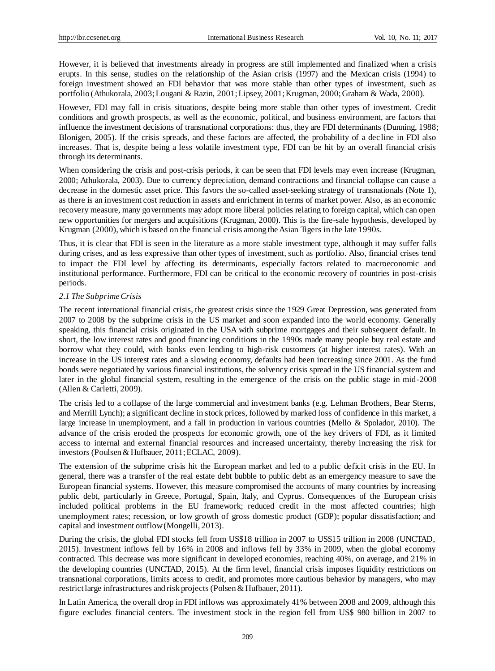However, it is believed that investments already in progress are still implemented and finalized when a crisis erupts. In this sense, studies on the relationship of the Asian crisis (1997) and the Mexican crisis (1994) to foreign investment showed an FDI behavior that was more stable than other types of investment, such as portfolio (Athukorala, 2003; Lougani & Razin, 2001; Lipsey, 2001; Krugman, 2000; Graham & Wada, 2000).

However, FDI may fall in crisis situations, despite being more stable than other types of investment. Credit conditions and growth prospects, as well as the economic, political, and business environment, are factors that influence the investment decisions of transnational corporations: thus, they are FDI determinants (Dunning, 1988; Blonigen, 2005). If the crisis spreads, and these factors are affected, the probability of a decline in FDI also increases. That is, despite being a less volatile investment type, FDI can be hit by an overall financial crisis through its determinants.

When considering the crisis and post-crisis periods, it can be seen that FDI levels may even increase (Krugman, 2000; Athukorala, 2003). Due to currency depreciation, demand contractions and financial collapse can cause a decrease in the domestic asset price. This favors the so-called asset-seeking strategy of transnationals (Note 1), as there is an investment cost reduction in assets and enrichment in terms of market power. Also, as an economic recovery measure, many governments may adopt more liberal policies relating to foreign capital, which can open new opportunities for mergers and acquisitions (Krugman, 2000). This is the fire-sale hypothesis, developed by Krugman (2000), which is based on the financial crisis among the Asian Tigers in the late 1990s.

Thus, it is clear that FDI is seen in the literature as a more stable investment type, although it may suffer falls during crises, and as less expressive than other types of investment, such as portfolio. Also, financial crises tend to impact the FDI level by affecting its determinants, especially factors related to macroeconomic and institutional performance. Furthermore, FDI can be critical to the economic recovery of countries in post-crisis periods.

## *2.1 The Subprime Crisis*

The recent international financial crisis, the greatest crisis since the 1929 Great Depression, was generated from 2007 to 2008 by the subprime crisis in the US market and soon expanded into the world economy. Generally speaking, this financial crisis originated in the USA with subprime mortgages and their subsequent default. In short, the low interest rates and good financing conditions in the 1990s made many people buy real estate and borrow what they could, with banks even lending to high-risk customers (at higher interest rates). With an increase in the US interest rates and a slowing economy, defaults had been increasing since 2001. As the fund bonds were negotiated by various financial institutions, the solvency crisis spread in the US financial system and later in the global financial system, resulting in the emergence of the crisis on the public stage in mid-2008 (Allen & Carletti, 2009).

The crisis led to a collapse of the large commercial and investment banks (e.g. Lehman Brothers, Bear Sterns, and Merrill Lynch); a significant decline in stock prices, followed by marked loss of confidence in this market, a large increase in unemployment, and a fall in production in various countries (Mello & Spolador, 2010). The advance of the crisis eroded the prospects for economic growth, one of the key drivers of FDI, as it limited access to internal and external financial resources and increased uncertainty, thereby increasing the risk for investors (Poulsen & Hufbauer, 2011; ECLAC, 2009).

The extension of the subprime crisis hit the European market and led to a public deficit crisis in the EU. In general, there was a transfer of the real estate debt bubble to public debt as an emergency measure to save the European financial systems. However, this measure compromised the accounts of many countries by increasing public debt, particularly in Greece, Portugal, Spain, Italy, and Cyprus. Consequences of the European crisis included political problems in the EU framework; reduced credit in the most affected countries; high unemployment rates; recession, or low growth of gross domestic product (GDP); popular dissatisfaction; and capital and investment outflow (Mongelli, 2013).

During the crisis, the global FDI stocks fell from US\$18 trillion in 2007 to US\$15 trillion in 2008 (UNCTAD, 2015). Investment inflows fell by 16% in 2008 and inflows fell by 33% in 2009, when the global economy contracted. This decrease was more significant in developed economies, reaching 40%, on average, and 21% in the developing countries (UNCTAD, 2015). At the firm level, financial crisis imposes liquidity restrictions on transnational corporations, limits access to credit, and promotes more cautious behavior by managers, who may restrict large infrastructures and risk projects (Polsen & Hufbauer, 2011).

In Latin America, the overall drop in FDI inflows was approximately 41% between 2008 and 2009, although this figure excludes financial centers. The investment stock in the region fell from US\$ 980 billion in 2007 to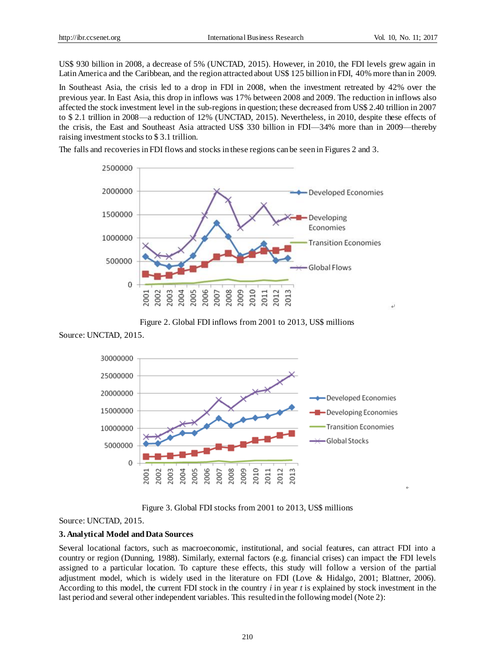US\$ 930 billion in 2008, a decrease of 5% (UNCTAD, 2015). However, in 2010, the FDI levels grew again in Latin America and the Caribbean, and the region attracted about US\$ 125 billion in FDI, 40% more than in 2009.

In Southeast Asia, the crisis led to a drop in FDI in 2008, when the investment retreated by 42% over the previous year. In East Asia, this drop in inflows was 17% between 2008 and 2009. The reduction in inflows also affected the stock investment level in the sub-regions in question; these decreased from US\$ 2.40 trillion in 2007 to \$ 2.1 trillion in 2008—a reduction of 12% (UNCTAD, 2015). Nevertheless, in 2010, despite these effects of the crisis, the East and Southeast Asia attracted US\$ 330 billion in FDI—34% more than in 2009—thereby raising investment stocks to \$ 3.1 trillion.

The falls and recoveries in FDI flows and stocks in these regions can be seen in Figures 2 and 3.







Source: UNCTAD, 2015.

Figure 3. Global FDI stocks from 2001 to 2013, US\$ millions

Source: UNCTAD, 2015.

## **3. Analytical Model and Data Sources**

Several locational factors, such as macroeconomic, institutional, and social features, can attract FDI into a country or region (Dunning, 1988). Similarly, external factors (e.g. financial crises) can impact the FDI levels assigned to a particular location. To capture these effects, this study will follow a version of the partial adjustment model, which is widely used in the literature on FDI (Love & Hidalgo, 2001; Blattner, 2006). According to this model, the current FDI stock in the country *i* in year *t* is explained by stock investment in the last period and several other independent variables. This resulted in the following model (Note 2):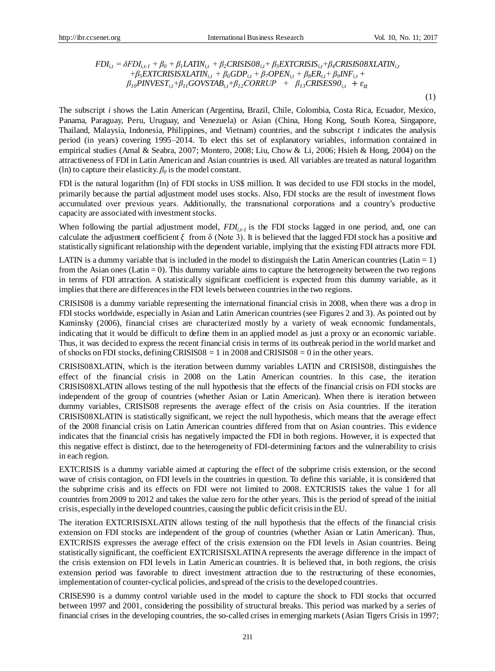$$
FDI_{i,t} = \delta FDI_{i,t-1} + \beta_0 + \beta_1 LATIN_{i,t} + \beta_2 CRISIS08_{i,t} + \beta_3 EXTCRISIS_{i,t} + \beta_4 CRISIS08XLATIN_{i,t} + \beta_5 EXTCRISISXLATIN_{i,t} + \beta_6 GDP_{i,t} + \beta_7 OPEN_{i,t} + \beta_8 ER_{i,t} + \beta_9 INF_{i,t} + \beta_{10} PINVEST_{i,t} + \beta_{11} GOVSTAB_{i,t} + \beta_{12} CORRUP + \beta_{13} CRISES90_{i,t} + \varepsilon_{it}
$$

(1)

The subscript *i* shows the Latin American (Argentina, Brazil, Chile, Colombia, Costa Rica, Ecuador, Mexico, Panama, Paraguay, Peru, Uruguay, and Venezuela) or Asian (China, Hong Kong, South Korea, Singapore, Thailand, Malaysia, Indonesia, Philippines, and Vietnam) countries, and the subscript *t* indicates the analysis period (in years) covering 1995–2014. To elect this set of explanatory variables, information contained in empirical studies (Amal & Seabra, 2007; Montero, 2008; Liu, Chow & Li, 2006; Hsieh & Hong, 2004) on the attractiveness of FDI in Latin American and Asian countries is used. All variables are treated as natural logarithm (ln) to capture their elasticity.  $\beta_0$  is the model constant.

FDI is the natural logarithm (ln) of FDI stocks in US\$ million. It was decided to use FDI stocks in the model, primarily because the partial adjustment model uses stocks. Also, FDI stocks are the result of investment flows accumulated over previous years. Additionally, the transnational corporations and a country's productive capacity are associated with investment stocks.

When following the partial adjustment model, *FDI*<sub>*i*,*t*</sub>*j* is the FDI stocks lagged in one period, and, one can calculate the adjustment coefficient  $\xi$  from  $\delta$  (Note 3). It is believed that the lagged FDI stock has a positive and statistically significant relationship with the dependent variable, implying that the existing FDI attracts more FDI.

LATIN is a dummy variable that is included in the model to distinguish the Latin American countries (Latin =  $1$ ) from the Asian ones ( $Latin = 0$ ). This dummy variable aims to capture the heterogeneity between the two regions in terms of FDI attraction. A statistically significant coefficient is expected from this dummy variable, as it implies that there are differences in the FDI levels between countries in the two regions.

CRISIS08 is a dummy variable representing the international financial crisis in 2008, when there was a drop in FDI stocks worldwide, especially in Asian and Latin American countries (see Figures 2 and 3). As pointed out by Kaminsky (2006), financial crises are characterized mostly by a variety of weak economic fundamentals, indicating that it would be difficult to define them in an applied model as just a proxy or an economic variable. Thus, it was decided to express the recent financial crisis in terms of its outbreak period in the world market and of shocks on FDI stocks, defining CRISIS08 = 1 in 2008 and CRISIS08 = 0 in the other years.

CRISIS08XLATIN, which is the iteration between dummy variables LATIN and CRISIS08, distinguishes the effect of the financial crisis in 2008 on the Latin American countries. In this case, the iteration CRISIS08XLATIN allows testing of the null hypothesis that the effects of the financial crisis on FDI stocks are independent of the group of countries (whether Asian or Latin American). When there is iteration between dummy variables, CRISIS08 represents the average effect of the crisis on Asia countries. If the iteration CRISIS08XLATIN is statistically significant, we reject the null hypothesis, which means that the average effect of the 2008 financial crisis on Latin American countries differed from that on Asian countries. This evidence indicates that the financial crisis has negatively impacted the FDI in both regions. However, it is expected that this negative effect is distinct, due to the heterogeneity of FDI-determining factors and the vulnerability to crisis in each region.

EXTCRISIS is a dummy variable aimed at capturing the effect of the subprime crisis extension, or the second wave of crisis contagion, on FDI levels in the countries in question. To define this variable, it is considered that the subprime crisis and its effects on FDI were not limited to 2008. EXTCRISIS takes the value 1 for all countries from 2009 to 2012 and takes the value zero for the other years. This is the period of spread of the initial crisis, especially in the developed countries, causing the public deficit crisis in the EU.

The iteration EXTCRISISXLATIN allows testing of the null hypothesis that the effects of the financial crisis extension on FDI stocks are independent of the group of countries (whether Asian or Latin American). Thus, EXTCRISIS expresses the average effect of the crisis extension on the FDI levels in Asian countries. Being statistically significant, the coefficient EXTCRISISXLATINA represents the average difference in the impact of the crisis extension on FDI levels in Latin American countries. It is believed that, in both regions, the crisis extension period was favorable to direct investment attraction due to the restructuring of these economies, implementation of counter-cyclical policies, and spread of the crisis to the developed countries.

CRISES90 is a dummy control variable used in the model to capture the shock to FDI stocks that occurred between 1997 and 2001, considering the possibility of structural breaks. This period was marked by a series of financial crises in the developing countries, the so-called crises in emerging markets (Asian Tigers Crisis in 1997;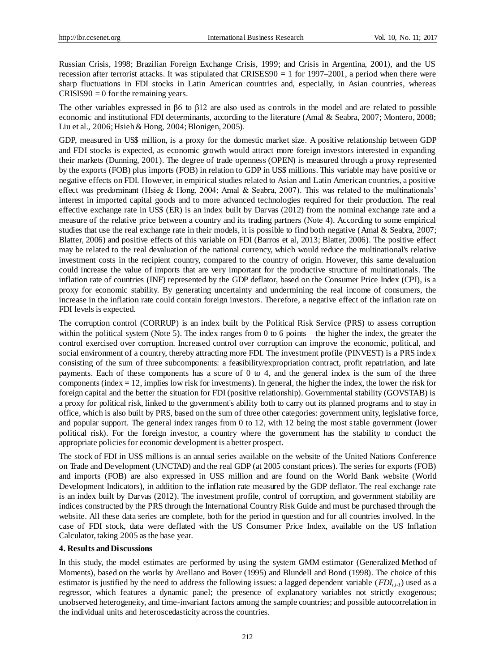Russian Crisis, 1998; Brazilian Foreign Exchange Crisis, 1999; and Crisis in Argentina, 2001), and the US recession after terrorist attacks. It was stipulated that CRISES90 = 1 for  $1997-2001$ , a period when there were sharp fluctuations in FDI stocks in Latin American countries and, especially, in Asian countries, whereas  $CRISIS90 = 0$  for the remaining years.

The other variables expressed in β6 to β12 are also used as controls in the model and are related to possible economic and institutional FDI determinants, according to the literature (Amal & Seabra, 2007; Montero, 2008; Liu et al., 2006; Hsieh & Hong, 2004; Blonigen, 2005).

GDP, measured in US\$ million, is a proxy for the domestic market size. A positive relationship between GDP and FDI stocks is expected, as economic growth would attract more foreign investors interested in expanding their markets (Dunning, 2001). The degree of trade openness (OPEN) is measured through a proxy represented by the exports (FOB) plus imports (FOB) in relation to GDP in US\$ millions. This variable may have positive or negative effects on FDI. However, in empirical studies related to Asian and Latin American countries, a positive effect was predominant (Hsieg & Hong, 2004; Amal & Seabra, 2007). This was related to the multinationals' interest in imported capital goods and to more advanced technologies required for their production. The real effective exchange rate in US\$ (ER) is an index built by Darvas (2012) from the nominal exchange rate and a measure of the relative price between a country and its trading partners (Note 4). According to some empirical studies that use the real exchange rate in their models, it is possible to find both negative (Amal & Seabra, 2007; Blatter, 2006) and positive effects of this variable on FDI (Barros et al, 2013; Blatter, 2006). The positive effect may be related to the real devaluation of the national currency, which would reduce the multinational's relative investment costs in the recipient country, compared to the country of origin. However, this same devaluation could increase the value of imports that are very important for the productive structure of multinationals. The inflation rate of countries (INF) represented by the GDP deflator, based on the Consumer Price Index (CPI), is a proxy for economic stability. By generating uncertainty and undermining the real income of consumers, the increase in the inflation rate could contain foreign investors. Therefore, a negative effect of the inflation rate on FDI levels is expected.

The corruption control (CORRUP) is an index built by the Political Risk Service (PRS) to assess corruption within the political system (Note 5). The index ranges from 0 to 6 points—the higher the index, the greater the control exercised over corruption. Increased control over corruption can improve the economic, political, and social environment of a country, thereby attracting more FDI. The investment profile (PINVEST) is a PRS index consisting of the sum of three subcomponents: a feasibility/expropriation contract, profit repatriation, and late payments. Each of these components has a score of 0 to 4, and the general index is the sum of the three components (index = 12, implies low risk for investments). In general, the higher the index, the lower the risk for foreign capital and the better the situation for FDI (positive relationship). Governmental stability (GOVSTAB) is a proxy for political risk, linked to the government's ability both to carry out its planned programs and to stay in office, which is also built by PRS, based on the sum of three other categories: government unity, legislative force, and popular support. The general index ranges from 0 to 12, with 12 being the most stable government (lower political risk). For the foreign investor, a country where the government has the stability to conduct the appropriate policies for economic development is a better prospect.

The stock of FDI in US\$ millions is an annual series available on the website of the United Nations Conference on Trade and Development (UNCTAD) and the real GDP (at 2005 constant prices). The series for exports (FOB) and imports (FOB) are also expressed in US\$ million and are found on the World Bank website (World Development Indicators), in addition to the inflation rate measured by the GDP deflator. The real exchange rate is an index built by Darvas (2012). The investment profile, control of corruption, and government stability are indices constructed by the PRS through the International Country Risk Guide and must be purchased through the website. All these data series are complete, both for the period in question and for all countries involved. In the case of FDI stock, data were deflated with the US Consumer Price Index, available on the US Inflation Calculator, taking 2005 as the base year.

## **4. Results and Discussions**

In this study, the model estimates are performed by using the system GMM estimator (Generalized Method of Moments), based on the works by Arellano and Bover (1995) and Blundell and Bond (1998). The choice of this estimator is justified by the need to address the following issues: a lagged dependent variable (*FDI*<sub>*i,t-1*</sub>) used as a regressor, which features a dynamic panel; the presence of explanatory variables not strictly exogenous; unobserved heterogeneity, and time-invariant factors among the sample countries; and possible autocorrelation in the individual units and heteroscedasticity across the countries.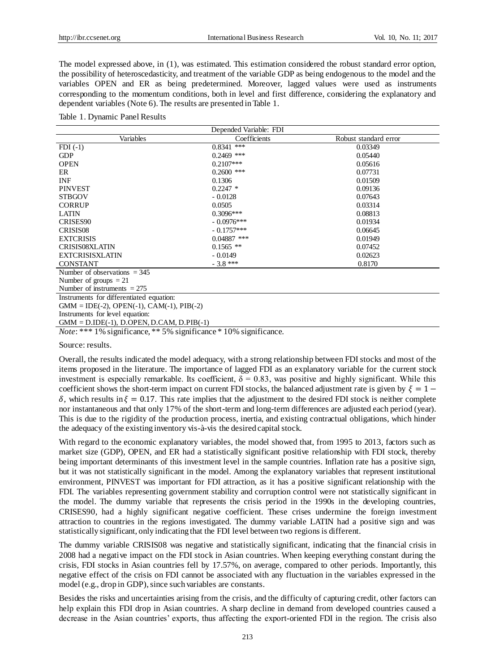The model expressed above, in (1), was estimated. This estimation considered the robust standard error option, the possibility of heteroscedasticity, and treatment of the variable GDP as being endogenous to the model and the variables OPEN and ER as being predetermined. Moreover, lagged values were used as instruments corresponding to the momentum conditions, both in level and first difference, considering the explanatory and dependent variables (Note 6). The results are presented in Table 1.

Table 1. Dynamic Panel Results

| Depended Variable: FDI                                                    |               |                       |  |  |
|---------------------------------------------------------------------------|---------------|-----------------------|--|--|
| Variables                                                                 | Coefficients  | Robust standard error |  |  |
| $FDI(-1)$                                                                 | 0.8341<br>*** | 0.03349               |  |  |
| <b>GDP</b>                                                                | $0.2469$ ***  | 0.05440               |  |  |
| <b>OPEN</b>                                                               | $0.2107***$   | 0.05616               |  |  |
| ER                                                                        | $0.2600$ ***  | 0.07731               |  |  |
| INF                                                                       | 0.1306        | 0.01509               |  |  |
| <b>PINVEST</b>                                                            | $0.2247$ *    | 0.09136               |  |  |
| <b>STBGOV</b>                                                             | $-0.0128$     | 0.07643               |  |  |
| <b>CORRUP</b>                                                             | 0.0505        | 0.03314               |  |  |
| <b>LATIN</b>                                                              | $0.3096***$   | 0.08813               |  |  |
| <b>CRISES90</b>                                                           | $-0.0976***$  | 0.01934               |  |  |
| <b>CRISIS08</b>                                                           | $-0.1757***$  | 0.06645               |  |  |
| <b>EXTCRISIS</b>                                                          | $0.04887$ *** | 0.01949               |  |  |
| <b>CRISIS08XLATIN</b>                                                     | $0.1565$ **   | 0.07452               |  |  |
| <b>EXTCRISISXLATIN</b>                                                    | $-0.0149$     | 0.02623               |  |  |
| <b>CONSTANT</b>                                                           | $-3.8$ ***    | 0.8170                |  |  |
| Number of observations $=$ 345                                            |               |                       |  |  |
| Number of groups $= 21$                                                   |               |                       |  |  |
| Number of instruments $= 275$                                             |               |                       |  |  |
| Instruments for differentiated equation:                                  |               |                       |  |  |
| $GMM = IDE(-2)$ , $OPEN(-1)$ , $CAM(-1)$ , $PIB(-2)$                      |               |                       |  |  |
| Instruments for level equation:                                           |               |                       |  |  |
| $GMM = D.IDE(-1), D.OPEN, D.CAM, D.PIB(-1)$                               |               |                       |  |  |
| <i>Note</i> : *** 1% significance, ** 5% significance * 10% significance. |               |                       |  |  |

## Source: results.

Overall, the results indicated the model adequacy, with a strong relationship between FDI stocks and most of the items proposed in the literature. The importance of lagged FDI as an explanatory variable for the current stock investment is especially remarkable. Its coefficient,  $\delta = 0.83$ , was positive and highly significant. While this coefficient shows the short-term impact on current FDI stocks, the balanced adjustment rate is given by  $\xi = 1 \delta$ , which results in  $\xi = 0.17$ . This rate implies that the adjustment to the desired FDI stock is neither complete nor instantaneous and that only 17% of the short-term and long-term differences are adjusted each period (year). This is due to the rigidity of the production process, inertia, and existing contractual obligations, which hinder the adequacy of the existing inventory vis- $\grave{a}$  vis the desired capital stock.

With regard to the economic explanatory variables, the model showed that, from 1995 to 2013, factors such as market size (GDP), OPEN, and ER had a statistically significant positive relationship with FDI stock, thereby being important determinants of this investment level in the sample countries. Inflation rate has a positive sign, but it was not statistically significant in the model. Among the explanatory variables that represent institutional environment, PINVEST was important for FDI attraction, as it has a positive significant relationship with the FDI. The variables representing government stability and corruption control were not statistically significant in the model. The dummy variable that represents the crisis period in the 1990s in the developing countries, CRISES90, had a highly significant negative coefficient. These crises undermine the foreign investment attraction to countries in the regions investigated. The dummy variable LATIN had a positive sign and was statistically significant, only indicating that the FDI level between two regions is different.

The dummy variable CRISIS08 was negative and statistically significant, indicating that the financial crisis in 2008 had a negative impact on the FDI stock in Asian countries. When keeping everything constant during the crisis, FDI stocks in Asian countries fell by 17.57%, on average, compared to other periods. Importantly, this negative effect of the crisis on FDI cannot be associated with any fluctuation in the variables expressed in the model (e.g., drop in GDP), since such variables are constants.

Besides the risks and uncertainties arising from the crisis, and the difficulty of capturing credit, other factors can help explain this FDI drop in Asian countries. A sharp decline in demand from developed countries caused a decrease in the Asian countries' exports, thus affecting the export-oriented FDI in the region. The crisis also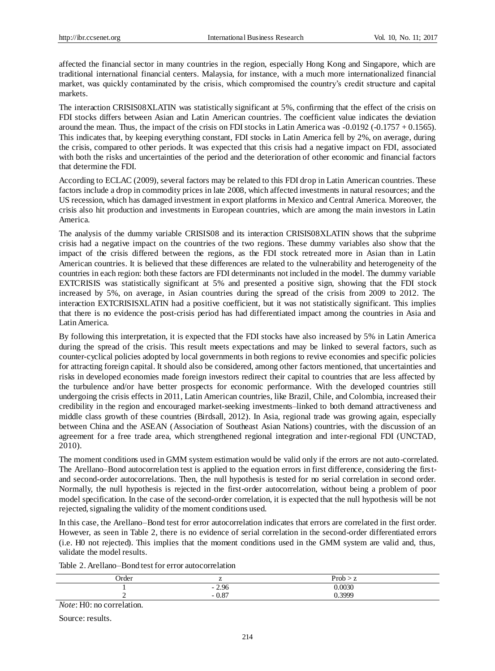affected the financial sector in many countries in the region, especially Hong Kong and Singapore, which are traditional international financial centers. Malaysia, for instance, with a much more internationalized financial market, was quickly contaminated by the crisis, which compromised the country's credit structure and capital markets.

The interaction CRISIS08XLATIN was statistically significant at 5%, confirming that the effect of the crisis on FDI stocks differs between Asian and Latin American countries. The coefficient value indicates the deviation around the mean. Thus, the impact of the crisis on FDI stocks in Latin America was  $-0.0192$  ( $-0.1757 + 0.1565$ ). This indicates that, by keeping everything constant, FDI stocks in Latin America fell by 2%, on average, during the crisis, compared to other periods. It was expected that this crisis had a negative impact on FDI, associated with both the risks and uncertainties of the period and the deterioration of other economic and financial factors that determine the FDI.

According to ECLAC (2009), several factors may be related to this FDI drop in Latin American countries. These factors include a drop in commodity prices in late 2008, which affected investments in natural resources; and the US recession, which has damaged investment in export platforms in Mexico and Central America. Moreover, the crisis also hit production and investments in European countries, which are among the main investors in Latin America.

The analysis of the dummy variable CRISIS08 and its interaction CRISIS08XLATIN shows that the subprime crisis had a negative impact on the countries of the two regions. These dummy variables also show that the impact of the crisis differed between the regions, as the FDI stock retreated more in Asian than in Latin American countries. It is believed that these differences are related to the vulnerability and heterogeneity of the countries in each region: both these factors are FDI determinants not included in the model. The dummy variable EXTCRISIS was statistically significant at 5% and presented a positive sign, showing that the FDI stock increased by 5%, on average, in Asian countries during the spread of the crisis from 2009 to 2012. The interaction EXTCRISISXLATIN had a positive coefficient, but it was not statistically significant. This implies that there is no evidence the post-crisis period has had differentiated impact among the countries in Asia and Latin America.

By following this interpretation, it is expected that the FDI stocks have also increased by 5% in Latin America during the spread of the crisis. This result meets expectations and may be linked to several factors, such as counter-cyclical policies adopted by local governments in both regions to revive economies and specific policies for attracting foreign capital. It should also be considered, among other factors mentioned, that uncertainties and risks in developed economies made foreign investors redirect their capital to countries that are less affected by the turbulence and/or have better prospects for economic performance. With the developed countries still undergoing the crisis effects in 2011, Latin American countries, like Brazil, Chile, and Colombia, increased their credibility in the region and encouraged market-seeking investments–linked to both demand attractiveness and middle class growth of these countries (Birdsall, 2012). In Asia, regional trade was growing again, especially between China and the ASEAN (Association of Southeast Asian Nations) countries, with the discussion of an agreement for a free trade area, which strengthened regional integration and inter-regional FDI (UNCTAD, 2010).

The moment conditions used in GMM system estimation would be valid only if the errors are not auto-correlated. The Arellano–Bond autocorrelation test is applied to the equation errors in first difference, considering the firstand second-order autocorrelations. Then, the null hypothesis is tested for no serial correlation in second order. Normally, the null hypothesis is rejected in the first-order autocorrelation, without being a problem of poor model specification. In the case of the second-order correlation, it is expected that the null hypothesis will be not rejected, signaling the validity of the moment conditions used.

In this case, the Arellano–Bond test for error autocorrelation indicates that errors are correlated in the first order. However, as seen in Table 2, there is no evidence of serial correlation in the second-order differentiated errors (i.e. H0 not rejected). This implies that the moment conditions used in the GMM system are valid and, thus, validate the model results.

Table 2. Arellano–Bond test for error autocorrelation

| Order |         | $P_{\rm rob}$ .<br>., |  |
|-------|---------|-----------------------|--|
|       | $-2.96$ | 0000<br>UU3U          |  |
| -     | $-0.87$ | 3999                  |  |

*Note*: H0: no correlation.

Source: results.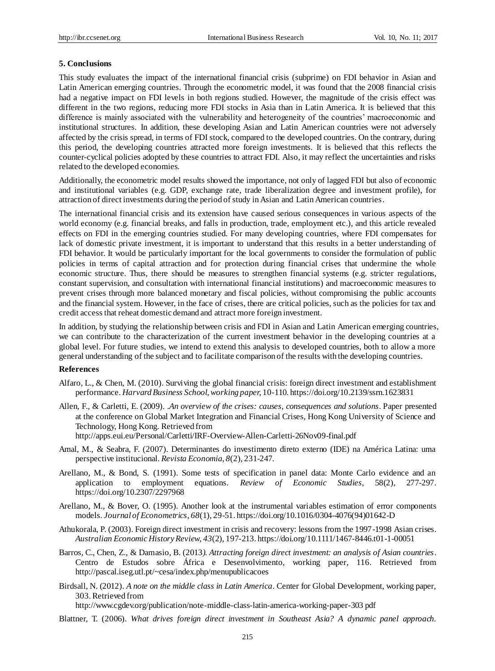## **5. Conclusions**

This study evaluates the impact of the international financial crisis (subprime) on FDI behavior in Asian and Latin American emerging countries. Through the econometric model, it was found that the 2008 financial crisis had a negative impact on FDI levels in both regions studied. However, the magnitude of the crisis effect was different in the two regions, reducing more FDI stocks in Asia than in Latin America. It is believed that this difference is mainly associated with the vulnerability and heterogeneity of the countries' macroeconomic and institutional structures. In addition, these developing Asian and Latin American countries were not adversely affected by the crisis spread, in terms of FDI stock, compared to the developed countries. On the contrary, during this period, the developing countries attracted more foreign investments. It is believed that this reflects the counter-cyclical policies adopted by these countries to attract FDI. Also, it may reflect the uncertainties and risks related to the developed economies.

Additionally, the econometric model results showed the importance, not only of lagged FDI but also of economic and institutional variables (e.g. GDP, exchange rate, trade liberalization degree and investment profile), for attraction of direct investments during the period of study in Asian and Latin American countries.

The international financial crisis and its extension have caused serious consequences in various aspects of the world economy (e.g. financial breaks, and falls in production, trade, employment etc.), and this article revealed effects on FDI in the emerging countries studied. For many developing countries, where FDI compensates for lack of domestic private investment, it is important to understand that this results in a better understanding of FDI behavior. It would be particularly important for the local governments to consider the formulation of public policies in terms of capital attraction and for protection during financial crises that undermine the whole economic structure. Thus, there should be measures to strengthen financial systems (e.g. stricter regulations, constant supervision, and consultation with international financial institutions) and macroeconomic measures to prevent crises through more balanced monetary and fiscal policies, without compromising the public accounts and the financial system. However, in the face of crises, there are critical policies, such as the policies for tax and credit access that reheat domestic demand and attract more foreign investment.

In addition, by studying the relationship between crisis and FDI in Asian and Latin American emerging countries, we can contribute to the characterization of the current investment behavior in the developing countries at a global level. For future studies, we intend to extend this analysis to developed countries, both to allow a more general understanding of the subject and to facilitate comparison of the results with the developing countries.

### **References**

- Alfaro, L., & Chen, M. (2010). Surviving the global financial crisis: foreign direct investment and establishment performance. *Harvard Business School, working paper,* 10-110[. https://doi.org/10.2139/ssrn.1623831](https://doi.org/10.2139/ssrn.1623831)
- Allen, F., & Carletti, E. (2009). .*An overview of the crises: causes, consequences and solutions*. Paper presented at the conference on Global Market Integration and Financial Crises, Hong Kong University of Science and Technology, Hong Kong. Retrieved from

http://apps.eui.eu/Personal/Carletti/IRF-Overview-Allen-Carletti-26Nov09-final.pdf

- Amal, M., & Seabra, F. (2007). Determinantes do investimento direto externo (IDE) na América Latina: uma perspective institucional. *Revista Economia*, *8*(2), 231-247.
- Arellano, M., & Bond, S. (1991). Some tests of specification in panel data: Monte Carlo evidence and an application to employment equations. *Review of Economic Studies*, 58(2), 277-297. https://doi.org/10.2307/2297968
- Arellano, M., & Bover, O. (1995). Another look at the instrumental variables estimation of error components models. *Journal of Econometrics*, *68*(1), 29-51[. https://doi.org/10.1016/0304-4076\(94\)01642-D](https://doi.org/10.1016/0304-4076(94)01642-D)
- Athukorala, P. (2003). Foreign direct investment in crisis and recovery: lessons from the 1997-1998 Asian crises. *Australian Economic History Review, 43*(2), 197-213. https://doi.org/10.1111/1467-8446.t01-1-00051
- Barros, C., Chen, Z., & Damasio, B. (2013*). Attracting foreign direct investment: an analysis of Asian countries*. Centro de Estudos sobre África e Desenvolvimento, working paper, 116. Retrieved from http://pascal.iseg.utl.pt/~cesa/index.php/menupublicacoes
- Birdsall, N. (2012). *A note on the middle class in Latin America*. Center for Global Development, working paper, 303. Retrieved from

http://www.cgdev.org/publication/note-middle-class-latin-america-working-paper-303 pdf

Blattner, T. (2006). *What drives foreign direct investment in Southeast Asia? A dynamic panel approach.*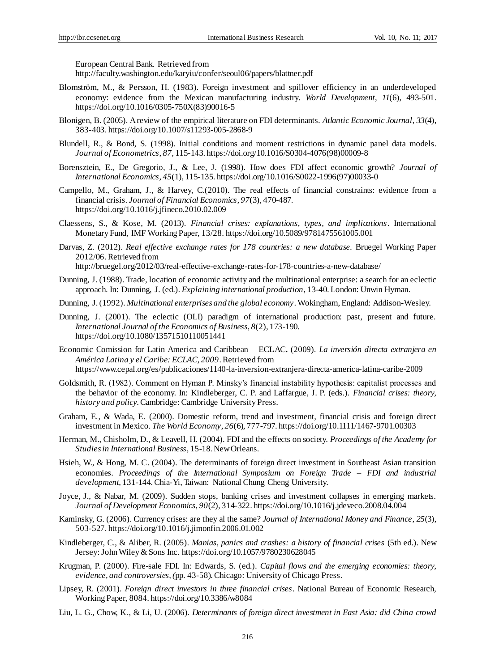European Central Bank. Retrieved from

http://faculty.washington.edu/karyiu/confer/seoul06/papers/blattner.pdf

- Blomström, M., & Persson, H. (1983). Foreign investment and spillover efficiency in an underdeveloped economy: evidence from the Mexican manufacturing industry. *World Development*, *11*(6), 493-501. [https://doi.org/10.1016/0305-750X\(83\)90016-5](https://doi.org/10.1016/0305-750X(83)90016-5)
- Blonigen, B. (2005). A review of the empirical literature on FDI determinants. *Atlantic Economic Journal*, *33*(4), 383-403. https://doi.org/10.1007/s11293-005-2868-9
- Blundell, R., & Bond, S. (1998). Initial conditions and moment restrictions in dynamic panel data models. *Journal of Econometrics*, *87,* 115-143[. https://doi.org/10.1016/S0304-4076\(98\)00009-8](https://doi.org/10.1016/S0304-4076(98)00009-8)
- Borensztein, E., De Gregorio, J., & Lee, J. (1998). How does FDI affect economic growth? *Journal of International Economics*, *45*(1), 115-135. https://doi.org/10.1016/S0022-1996(97)00033-0
- Campello, M., Graham, J., & Harvey, C.(2010). The real effects of financial constraints: evidence from a financial crisis. *Journal of Financial Economics, 97*(3), 470-487. <https://doi.org/10.1016/j.jfineco.2010.02.009>
- Claessens, S., & Kose, M. (2013). *Financial crises: explanations, types, and implications*. International Monetary Fund, IMF Working Paper, 13/28[. https://doi.org/10.5089/9781475561005.001](https://doi.org/10.5089/9781475561005.001)
- Darvas, Z. (2012). *Real effective exchange rates for 178 countries: a new database.* Bruegel Working Paper 2012/06. Retrieved from

http://bruegel.org/2012/03/real-effective-exchange-rates-for-178-countries-a-new-database/

- Dunning, J. (1988). Trade, location of economic activity and the multinational enterprise: a search for an eclectic approach. In: Dunning, J. (ed.). *Explaining international production*, 13-40. London: Unwin Hyman.
- Dunning, J. (1992). *Multinational enterprises and the global economy*. Wokingham, England: Addison-Wesley.
- Dunning, J. (2001). The eclectic (OLI) paradigm of international production: past, present and future. *International Journal of the Economics of Business*, *8*(2), 173-190. https://doi.org/10.1080/13571510110051441
- Economic Comission for Latin America and Caribbean ECLAC**.** (2009). *La inversión directa extranjera en América Latina y el Caribe: ECLAC, 2009*. Retrieved from https://www.cepal.org/es/publicaciones/1140-la-inversion-extranjera-directa-america-latina-caribe-2009
- Goldsmith, R. (1982). Comment on Hyman P. Minsky's financial instability hypothesis: capitalist processes and the behavior of the economy. In: Kindleberger, C. P. and Laffargue, J. P. (eds.). *Financial crises: theory, history and policy*. Cambridge: Cambridge University Press.
- Graham, E., & Wada, E. (2000). Domestic reform, trend and investment, financial crisis and foreign direct investment in Mexico. *The World Economy*, *26*(6), 777-797. https://doi.org/10.1111/1467-9701.00303
- Herman, M., Chisholm, D., & Leavell, H. (2004). FDI and the effects on society. *Proceedings of the Academy for Studies in International Business*, 15-18. New Orleans.
- Hsieh, W., & Hong, M. C. (2004). The determinants of foreign direct investment in Southeast Asian transition economies. *Proceedings of th*e *International Symposium on Foreign Trade – FDI and industrial development*, 131-144. Chia-Yi, Taiwan: National Chung Cheng University.
- Joyce, J., & Nabar, M. (2009). Sudden stops, banking crises and investment collapses in emerging markets. *Journal of Development Economics, 90*(2), 314-322[. https://doi.org/10.1016/j.jdeveco.2008.04.004](https://doi.org/10.1016/j.jdeveco.2008.04.004)
- Kaminsky, G. (2006). Currency crises: are they al the same? *Journal of International Money and Finance*, *25*(3), 503-527[. https://doi.org/10.1016/j.jimonfin.2006.01.002](https://doi.org/10.1016/j.jimonfin.2006.01.002)
- Kindleberger, C., & Aliber, R. (2005). *Manias, panics and crashes: a history of financial crises* (5th ed.). New Jersey: John Wiley & Sons Inc. https://doi.org/10.1057/9780230628045
- Krugman, P. (2000). Fire-sale FDI. In: Edwards, S. (ed.). *Capital flows and the emerging economies: theory, evidence, and controversies, (*pp. 43-58). Chicago: University of Chicago Press.
- Lipsey, R. (2001). *Foreign direct investors in three financial crises*. National Bureau of Economic Research, Working Paper, 8084. https://doi.org/10.3386/w8084
- Liu, L. G., Chow, K., & Li, U. (2006). *Determinants of foreign direct investment in East Asia: did China crowd*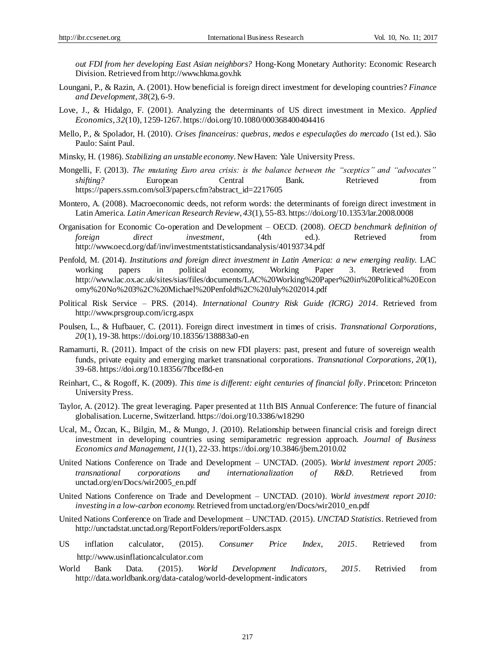*out FDI from her developing East Asian neighbors?* Hong-Kong Monetary Authority: Economic Research Division. Retrieved from http://www.hkma.gov.hk

- Loungani, P., & Razin, A. (2001). How beneficial is foreign direct investment for developing countries? *Finance and Development*, *38*(2), 6-9.
- Love, J., & Hidalgo, F. (2001). Analyzing the determinants of US direct investment in Mexico. *Applied Economics*, *32*(10), 1259-1267. https://doi.org/10.1080/000368400404416
- Mello, P., & Spolador, H. (2010). *Crises financeiras: quebras, medos e especulações do mercado* (1st ed.). São Paulo: Saint Paul.
- Minsky, H. (1986). *Stabilizing an unstable economy*. New Haven: Yale University Press.
- Mongelli, F. (2013). *The mutating Euro area crisis: is the balance between the "sceptics" and "advocates" shifting?* European Central Bank. Retrieved from https://papers.ssrn.com/sol3/papers.cfm?abstract\_id=2217605
- Montero, A. (2008). Macroeconomic deeds, not reform words: the determinants of foreign direct investment in Latin America. *Latin American Research Review*, *43*(1), 55-83. https://doi.org/10.1353/lar.2008.0008
- Organisation for Economic Co-operation and Development OECD. (2008). *OECD benchmark definition of foreign direct investment*, (4th ed.). Retrieved from http://www.oecd.org/daf/inv/investmentstatisticsandanalysis/40193734.pdf
- Penfold, M. (2014). *Institutions and foreign direct investment in Latin America: a new emerging reality.* LAC working papers in political economy, Working Paper 3. Retrieved from http://www.lac.ox.ac.uk/sites/sias/files/documents/LAC%20Working%20Paper%20in%20Political%20Econ omy%20No%203%2C%20Michael%20Penfold%2C%20July%202014.pdf
- Political Risk Service PRS. (2014). *International Country Risk Guide (ICRG) 2014*. Retrieved from http://www.prsgroup.com/icrg.aspx
- Poulsen, L., & Hufbauer, C. (2011). Foreign direct investment in times of crisis. *Transnational Corporations*, *20*(1), 19-38. https://doi.org/10.18356/138883a0-en
- Ramamurti, R. (2011). Impact of the crisis on new FDI players: past, present and future of sovereign wealth funds, private equity and emerging market transnational corporations. *Transnational Corporations*, *20*(1), 39-68. https://doi.org/10.18356/7fbcef8d-en
- Reinhart, C., & Rogoff, K. (2009). *This time is different: eight centuries of financial folly*. Princeton: Princeton University Press.
- Taylor, A. (2012). The great leveraging. Paper presented at 11th BIS Annual Conference: The future of financial globalisation. Lucerne, Switzerland. https://doi.org/10.3386/w18290
- Ucal, M., Özcan, K., Bilgin, M., & Mungo, J. (2010). Relationship between financial crisis and foreign direct investment in developing countries using semiparametric regression approach. *Journal of Business Economics and Management*, *11*(1), 22-33. https://doi.org/10.3846/jbem.2010.02
- United Nations Conference on Trade and Development UNCTAD. (2005). *World investment report 2005: transnational corporations and internationalization of R&D*. Retrieved from unctad.org/en/Docs/wir2005\_en.pdf
- United Nations Conference on Trade and Development UNCTAD. (2010). *World investment report 2010: investing in a low-carbon economy.* Retrieved from unctad.org/en/Docs/wir2010\_en.pdf
- United Nations Conference on Trade and Development UNCTAD. (2015). *UNCTAD Statistics*. Retrieved from http://unctadstat.unctad.org/ReportFolders/reportFolders.aspx
- US inflation calculator, (2015). *Consumer Price Index, 2015*. Retrieved from http://www.usinflationcalculator.com
- World Bank Data. (2015). *World Development Indicators, 2015*. Retrivied from http://data.worldbank.org/data-catalog/world-development-indicators